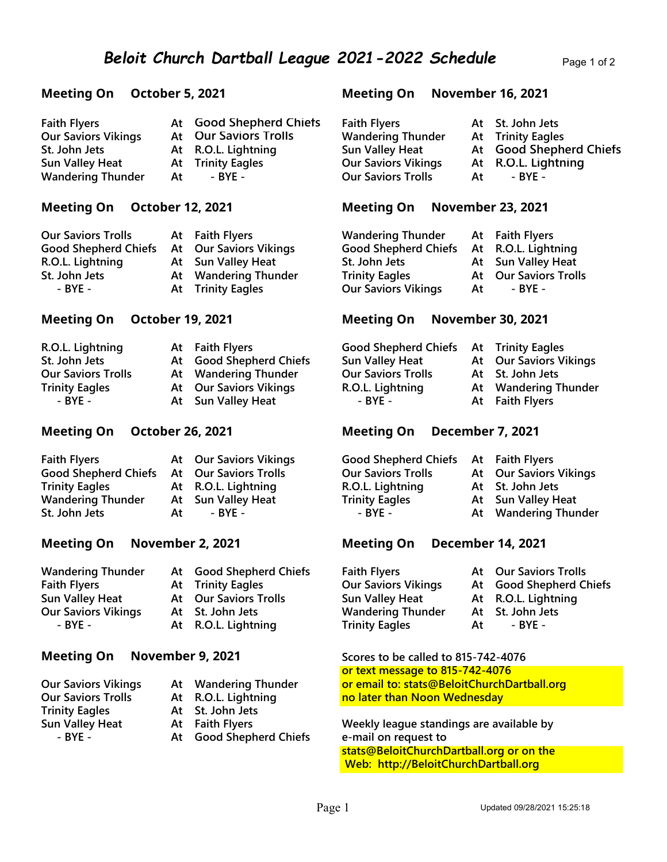| <b>Faith Flyers</b>        |    | At Good Shepherd Chiefs  | <b>Faith Flyers</b>        |    | At St. John Je |
|----------------------------|----|--------------------------|----------------------------|----|----------------|
| <b>Our Saviors Vikings</b> |    | At Our Saviors Trolls    | <b>Wandering Thunder</b>   |    | At Trinity Eag |
| St. John Jets              |    | At R.O.L. Lightning      | Sun Valley Heat            |    | At Good She    |
| <b>Sun Valley Heat</b>     |    | <b>At</b> Trinity Eagles | <b>Our Saviors Vikings</b> |    | At R.O.L. Lig  |
| <b>Wandering Thunder</b>   | At | - BYE -                  | <b>Our Saviors Trolls</b>  | At | - BYE -        |

| <b>Our Saviors Trolls</b>   | At Faith Flyers        |
|-----------------------------|------------------------|
| <b>Good Shepherd Chiefs</b> | At Our Saviors Vikings |
| R.O.L. Lightning            | At Sun Valley Heat     |
| St. John Jets               | At Wandering Thunder   |
| - BYE -                     | At Trinity Eagles      |

| R.O.L. Lightning          | At Faith Flyers         | Good Shepherd Chiefs At Trinity Eagles |                        |
|---------------------------|-------------------------|----------------------------------------|------------------------|
| St. John Jets             | At Good Shepherd Chiefs | <b>Sun Valley Heat</b>                 | At Our Saviors Vikings |
| <b>Our Saviors Trolls</b> | At Wandering Thunder    | <b>Our Saviors Trolls</b>              | At St. John Jets       |
| <b>Trinity Eagles</b>     | At Our Saviors Vikings  | R.O.L. Lightning                       | At Wandering Thunder   |
| - BYE -                   | At Sun Valley Heat      | - BYE -                                | At Faith Flyers        |

### Meeting On October 26, 2021 Meeting On December 7, 2021

| <b>Faith Flyers</b>                         |    | <b>At Our Saviors Vikings</b> | Good Shepherd Chiefs At Faith Flyers |                          |
|---------------------------------------------|----|-------------------------------|--------------------------------------|--------------------------|
| Good Shepherd Chiefs  At Our Saviors Trolls |    |                               | <b>Our Saviors Trolls</b>            | At Our Saviors Viki      |
| <b>Trinity Eagles</b>                       |    | At R.O.L. Lightning           | R.O.L. Lightning                     | At St. John Jets         |
| <b>Wandering Thunder</b>                    |    | At Sun Valley Heat            | <b>Trinity Eagles</b>                | At Sun Valley Heat       |
| St. John Jets                               | At | - BYE -                       | - BYE -                              | <b>At Wandering Thur</b> |

| <b>Wandering Thunder</b>   |
|----------------------------|
| <b>Faith Flyers</b>        |
| <b>Sun Valley Heat</b>     |
| <b>Our Saviors Vikings</b> |
| - BYE -                    |

|    | At Good Shepherd Chiefs      |
|----|------------------------------|
|    | At Trinity Eagles            |
|    | <b>At Our Saviors Trolls</b> |
|    | At St. John Jets             |
| At | R.O.L. Lightning             |

### Meeting On November 9, 2021 Scores to be called to 815-742-4076

| <b>Our Saviors Vikings</b> |
|----------------------------|
| <b>Our Saviors Trolls</b>  |
| <b>Trinity Eagles</b>      |
| <b>Sun Valley Heat</b>     |
| - BYE -                    |

- At St. John Jets
- 
- At Good Shepherd Chiefs e-mail on request to

### Meeting On October 5, 2021 Meeting On November 16, 2021

| <b>Faith Flyers</b>        |    | At Good Shepherd Chiefs  | <b>Faith Flyers</b>        |    | At St. John Jets         |
|----------------------------|----|--------------------------|----------------------------|----|--------------------------|
| <b>Our Saviors Vikings</b> |    | At Our Saviors Trolls    | <b>Wandering Thunder</b>   |    | <b>At</b> Trinity Eagles |
| St. John Jets              |    | At R.O.L. Lightning      | Sun Valley Heat            |    | At Good Shepherd Chiefs  |
| Sun Valley Heat            |    | <b>At</b> Trinity Eagles | <b>Our Saviors Vikings</b> |    | At R.O.L. Lightning      |
| <b>Wandering Thunder</b>   | At | - BYE -                  | <b>Our Saviors Trolls</b>  | At | - BYE -                  |

### Meeting On October 12, 2021 Meeting On November 23, 2021

Wandering Thunder At Faith Flyers Good Shepherd Chiefs At R.O.L. Lightning St. John Jets **At Sun Valley Heat** Trinity Eagles At Our Saviors Trolls Our Saviors Vikings At - BYE -

### Meeting On October 19, 2021 Meeting On November 30, 2021

| Good Shepherd Chiefs At Trinity Eagles |                               |
|----------------------------------------|-------------------------------|
| <b>Sun Valley Heat</b>                 | <b>At Our Saviors Vikings</b> |
| <b>Our Saviors Trolls</b>              | At St. John Jets              |
| R.O.L. Lightning                       | At Wandering Thunder          |
| $-$ BYE $-$                            | At Faith Flyers               |

| <b>Faith Flyers</b>                        |    | At Our Saviors Vikings | Good Shepherd Chiefs At Faith Flyers |                               |
|--------------------------------------------|----|------------------------|--------------------------------------|-------------------------------|
| Good Shepherd Chiefs At Our Saviors Trolls |    |                        | <b>Our Saviors Trolls</b>            | <b>At Our Saviors Vikings</b> |
| <b>Trinity Eagles</b>                      |    | At R.O.L. Lightning    | R.O.L. Lightning                     | At St. John Jets              |
| <b>Wandering Thunder</b>                   |    | At Sun Valley Heat     | <b>Trinity Eagles</b>                | At Sun Valley Heat            |
| St. John Jets                              | At | - RYF -                | - BYE -                              | At Wandering Thunder          |

### Meeting On November 2, 2021 Meeting On December 14, 2021

| <b>Wandering Thunder</b><br>Faith Flyers<br>Sun Valley Heat | At Good Shepherd Chiefs<br><b>At</b> Trinity Eagles<br>At Our Saviors Trolls | <b>Faith Flyers</b><br><b>Our Saviors Vikings</b><br>Sun Valley Heat |    | At Our Saviors Trolls<br>At Good Shepherd Chiefs<br>At R.O.L. Lightning |
|-------------------------------------------------------------|------------------------------------------------------------------------------|----------------------------------------------------------------------|----|-------------------------------------------------------------------------|
| <b>Our Saviors Vikings</b>                                  | At St. John Jets                                                             | <b>Wandering Thunder</b>                                             |    | At St. John Jets                                                        |
| - BYE -                                                     | At R.O.L. Lightning                                                          | <b>Trinity Eagles</b>                                                | At | - BYE -                                                                 |

## or text message to 815-742-4076 At Wandering Thunder **Our email to: stats@BeloitChurchDartball.org** At R.O.L. Lightning no later than Noon Wednesday

At Faith Flyers Weekly league standings are available by stats@BeloitChurchDartball.org or on the Web: http://BeloitChurchDartball.org